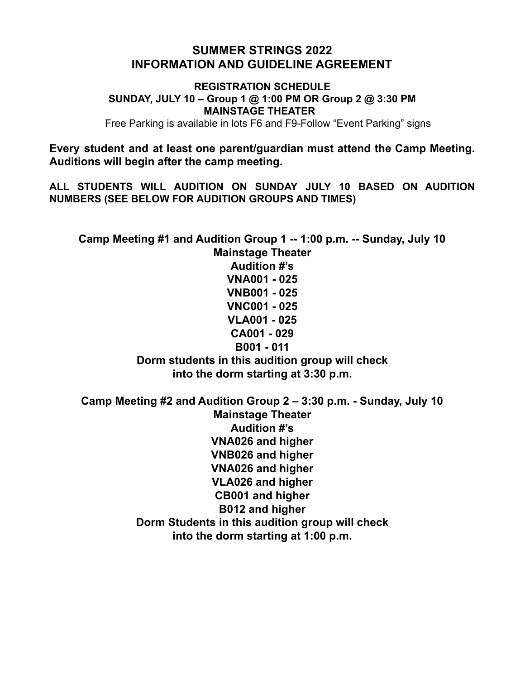# **SUMMER STRINGS 2022 INFORMATION AND GUIDELINE AGREEMENT**

**REGISTRATION SCHEDULE SUNDAY, JULY 10 – Group 1 @ 1:00 PM OR Group 2 @ 3:30 PM MAINSTAGE THEATER** Free Parking is available in lots F6 and F9-Follow "Event Parking" signs

**Every student and at least one parent/guardian must attend the Camp Meeting. Auditions will begin after the camp meeting.**

**ALL STUDENTS WILL AUDITION ON SUNDAY JULY 10 BASED ON AUDITION NUMBERS (SEE BELOW FOR AUDITION GROUPS AND TIMES)**

**Camp Meeting #1 and Audition Group 1 -- 1:00 p.m. -- Sunday, July 10 Mainstage Theater Audition #'s VNA001 - 025 VNB001 - 025 VNC001 - 025 VLA001 - 025 CA001 - 029 B001 - 011 Dorm students in this audition group will check into the dorm starting at 3:30 p.m. Camp Meeting #2 and Audition Group 2 – 3:30 p.m. - Sunday, July 10 Mainstage Theater**

**Audition #'s VNA026 and higher VNB026 and higher VNA026 and higher VLA026 and higher CB001 and higher B012 and higher Dorm Students in this audition group will check into the dorm starting at 1:00 p.m.**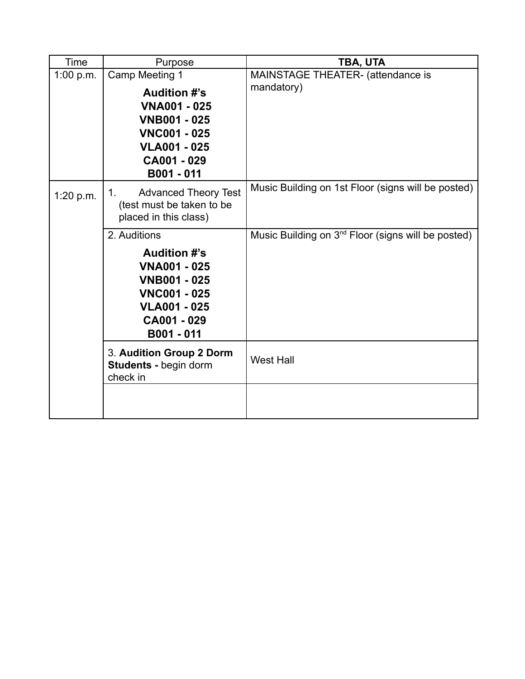| Time      | Purpose                                                                                                                                                        | TBA, UTA                                                |
|-----------|----------------------------------------------------------------------------------------------------------------------------------------------------------------|---------------------------------------------------------|
| 1:00 p.m. | Camp Meeting 1<br><b>Audition #'s</b><br><b>VNA001 - 025</b><br><b>VNB001 - 025</b><br><b>VNC001 - 025</b><br><b>VLA001 - 025</b><br>CA001 - 029<br>B001 - 011 | <b>MAINSTAGE THEATER- (attendance is</b><br>mandatory)  |
| 1:20 p.m. | <b>Advanced Theory Test</b><br>1.<br>(test must be taken to be<br>placed in this class)                                                                        | Music Building on 1st Floor (signs will be posted)      |
|           | 2. Auditions<br><b>Audition #'s</b><br><b>VNA001 - 025</b><br><b>VNB001 - 025</b><br><b>VNC001 - 025</b><br><b>VLA001 - 025</b><br>CA001 - 029<br>B001 - 011   | Music Building on $3^{nd}$ Floor (signs will be posted) |
|           | 3. Audition Group 2 Dorm<br><b>Students - begin dorm</b><br>check in                                                                                           | <b>West Hall</b>                                        |
|           |                                                                                                                                                                |                                                         |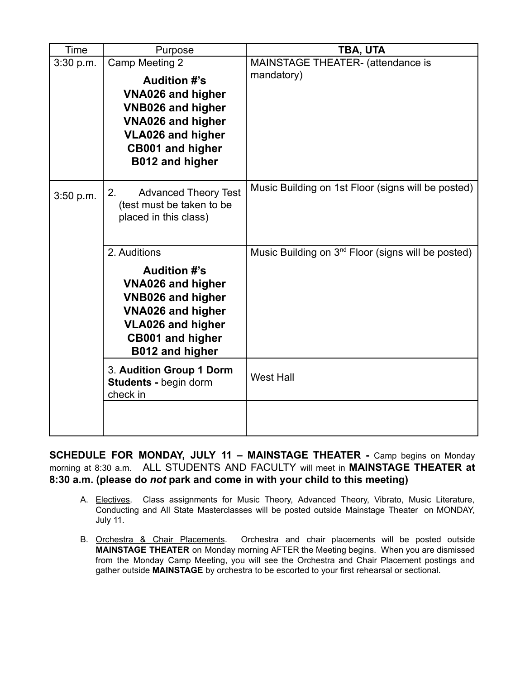| Time      | Purpose                                            | TBA, UTA                                                       |
|-----------|----------------------------------------------------|----------------------------------------------------------------|
| 3:30 p.m. | Camp Meeting 2                                     | <b>MAINSTAGE THEATER- (attendance is</b>                       |
|           | <b>Audition #'s</b>                                | mandatory)                                                     |
|           | <b>VNA026 and higher</b>                           |                                                                |
|           | <b>VNB026 and higher</b>                           |                                                                |
|           | <b>VNA026 and higher</b>                           |                                                                |
|           | <b>VLA026 and higher</b>                           |                                                                |
|           | <b>CB001 and higher</b>                            |                                                                |
|           | B012 and higher                                    |                                                                |
|           |                                                    |                                                                |
| 3:50 p.m. | 2.<br><b>Advanced Theory Test</b>                  | Music Building on 1st Floor (signs will be posted)             |
|           | (test must be taken to be<br>placed in this class) |                                                                |
|           |                                                    |                                                                |
|           |                                                    |                                                                |
|           | 2. Auditions                                       | Music Building on 3 <sup>nd</sup> Floor (signs will be posted) |
|           | <b>Audition #'s</b>                                |                                                                |
|           | <b>VNA026 and higher</b>                           |                                                                |
|           | <b>VNB026 and higher</b>                           |                                                                |
|           | <b>VNA026 and higher</b>                           |                                                                |
|           | <b>VLA026 and higher</b>                           |                                                                |
|           | <b>CB001 and higher</b>                            |                                                                |
|           | B012 and higher                                    |                                                                |
|           | 3. Audition Group 1 Dorm                           | <b>West Hall</b>                                               |
|           | Students - begin dorm                              |                                                                |
|           | check in                                           |                                                                |
|           |                                                    |                                                                |
|           |                                                    |                                                                |

**SCHEDULE FOR MONDAY, JULY 11 – MAINSTAGE THEATER -** Camp begins on Monday morning at 8:30 a.m. ALL STUDENTS AND FACULTY will meet in **MAINSTAGE THEATER at 8:30 a.m. (please do** *not* **park and come in with your child to this meeting)**

- A. Electives. Class assignments for Music Theory, Advanced Theory, Vibrato, Music Literature, Conducting and All State Masterclasses will be posted outside Mainstage Theater on MONDAY, July 11.
- B. Orchestra & Chair Placements. Orchestra and chair placements will be posted outside **MAINSTAGE THEATER** on Monday morning AFTER the Meeting begins. When you are dismissed from the Monday Camp Meeting, you will see the Orchestra and Chair Placement postings and gather outside **MAINSTAGE** by orchestra to be escorted to your first rehearsal or sectional.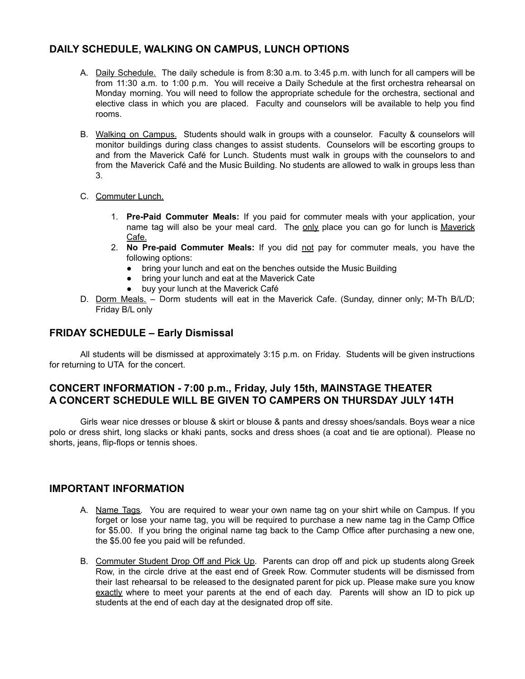# **DAILY SCHEDULE, WALKING ON CAMPUS, LUNCH OPTIONS**

- A. Daily Schedule. The daily schedule is from 8:30 a.m. to 3:45 p.m. with lunch for all campers will be from 11:30 a.m. to 1:00 p.m. You will receive a Daily Schedule at the first orchestra rehearsal on Monday morning. You will need to follow the appropriate schedule for the orchestra, sectional and elective class in which you are placed. Faculty and counselors will be available to help you find rooms.
- B. Walking on Campus. Students should walk in groups with a counselor. Faculty & counselors will monitor buildings during class changes to assist students. Counselors will be escorting groups to and from the Maverick Café for Lunch. Students must walk in groups with the counselors to and from the Maverick Café and the Music Building. No students are allowed to walk in groups less than 3.
- C. Commuter Lunch.
	- 1. **Pre-Paid Commuter Meals:** If you paid for commuter meals with your application, your name tag will also be your meal card. The only place you can go for lunch is Maverick Cafe.
	- 2. **No Pre-paid Commuter Meals:** If you did not pay for commuter meals, you have the following options:
		- bring your lunch and eat on the benches outside the Music Building
		- bring your lunch and eat at the Maverick Cate
		- buy your lunch at the Maverick Café
- D. Dorm Meals. Dorm students will eat in the Maverick Cafe. (Sunday, dinner only; M-Th B/L/D; Friday B/L only

### **FRIDAY SCHEDULE – Early Dismissal**

All students will be dismissed at approximately 3:15 p.m. on Friday. Students will be given instructions for returning to UTA for the concert.

# **CONCERT INFORMATION - 7:00 p.m., Friday, July 15th, MAINSTAGE THEATER A CONCERT SCHEDULE WILL BE GIVEN TO CAMPERS ON THURSDAY JULY 14TH**

Girls wear nice dresses or blouse & skirt or blouse & pants and dressy shoes/sandals. Boys wear a nice polo or dress shirt, long slacks or khaki pants, socks and dress shoes (a coat and tie are optional). Please no shorts, jeans, flip-flops or tennis shoes.

#### **IMPORTANT INFORMATION**

- A. Name Tags. You are required to wear your own name tag on your shirt while on Campus. If you forget or lose your name tag, you will be required to purchase a new name tag in the Camp Office for \$5.00. If you bring the original name tag back to the Camp Office after purchasing a new one, the \$5.00 fee you paid will be refunded.
- B. Commuter Student Drop Off and Pick Up. Parents can drop off and pick up students along Greek Row, in the circle drive at the east end of Greek Row. Commuter students will be dismissed from their last rehearsal to be released to the designated parent for pick up. Please make sure you know exactly where to meet your parents at the end of each day. Parents will show an ID to pick up students at the end of each day at the designated drop off site.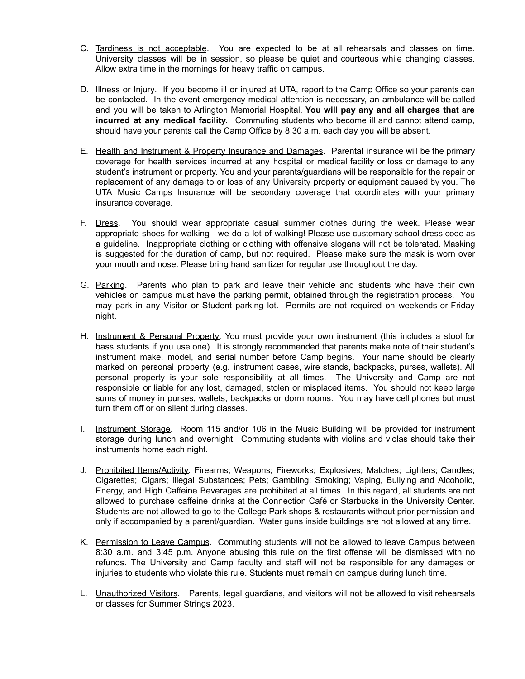- C. Tardiness is not acceptable. You are expected to be at all rehearsals and classes on time. University classes will be in session, so please be quiet and courteous while changing classes. Allow extra time in the mornings for heavy traffic on campus.
- D. Illness or Injury. If you become ill or injured at UTA, report to the Camp Office so your parents can be contacted. In the event emergency medical attention is necessary, an ambulance will be called and you will be taken to Arlington Memorial Hospital. **You will pay any and all charges that are incurred at any medical facility.** Commuting students who become ill and cannot attend camp, should have your parents call the Camp Office by 8:30 a.m. each day you will be absent.
- E. Health and Instrument & Property Insurance and Damages. Parental insurance will be the primary coverage for health services incurred at any hospital or medical facility or loss or damage to any student's instrument or property. You and your parents/guardians will be responsible for the repair or replacement of any damage to or loss of any University property or equipment caused by you. The UTA Music Camps Insurance will be secondary coverage that coordinates with your primary insurance coverage.
- F. Dress. You should wear appropriate casual summer clothes during the week. Please wear appropriate shoes for walking—we do a lot of walking! Please use customary school dress code as a guideline. Inappropriate clothing or clothing with offensive slogans will not be tolerated. Masking is suggested for the duration of camp, but not required. Please make sure the mask is worn over your mouth and nose. Please bring hand sanitizer for regular use throughout the day.
- G. Parking. Parents who plan to park and leave their vehicle and students who have their own vehicles on campus must have the parking permit, obtained through the registration process. You may park in any Visitor or Student parking lot. Permits are not required on weekends or Friday night.
- H. Instrument & Personal Property. You must provide your own instrument (this includes a stool for bass students if you use one). It is strongly recommended that parents make note of their student's instrument make, model, and serial number before Camp begins. Your name should be clearly marked on personal property (e.g. instrument cases, wire stands, backpacks, purses, wallets). All personal property is your sole responsibility at all times. The University and Camp are not responsible or liable for any lost, damaged, stolen or misplaced items. You should not keep large sums of money in purses, wallets, backpacks or dorm rooms. You may have cell phones but must turn them off or on silent during classes.
- I. Instrument Storage. Room 115 and/or 106 in the Music Building will be provided for instrument storage during lunch and overnight. Commuting students with violins and violas should take their instruments home each night.
- J. Prohibited Items/Activity. Firearms; Weapons; Fireworks; Explosives; Matches; Lighters; Candles; Cigarettes; Cigars; Illegal Substances; Pets; Gambling; Smoking; Vaping, Bullying and Alcoholic, Energy, and High Caffeine Beverages are prohibited at all times. In this regard, all students are not allowed to purchase caffeine drinks at the Connection Café or Starbucks in the University Center. Students are not allowed to go to the College Park shops & restaurants without prior permission and only if accompanied by a parent/guardian. Water guns inside buildings are not allowed at any time.
- K. Permission to Leave Campus. Commuting students will not be allowed to leave Campus between 8:30 a.m. and 3:45 p.m. Anyone abusing this rule on the first offense will be dismissed with no refunds. The University and Camp faculty and staff will not be responsible for any damages or injuries to students who violate this rule. Students must remain on campus during lunch time.
- L. Unauthorized Visitors. Parents, legal guardians, and visitors will not be allowed to visit rehearsals or classes for Summer Strings 2023.